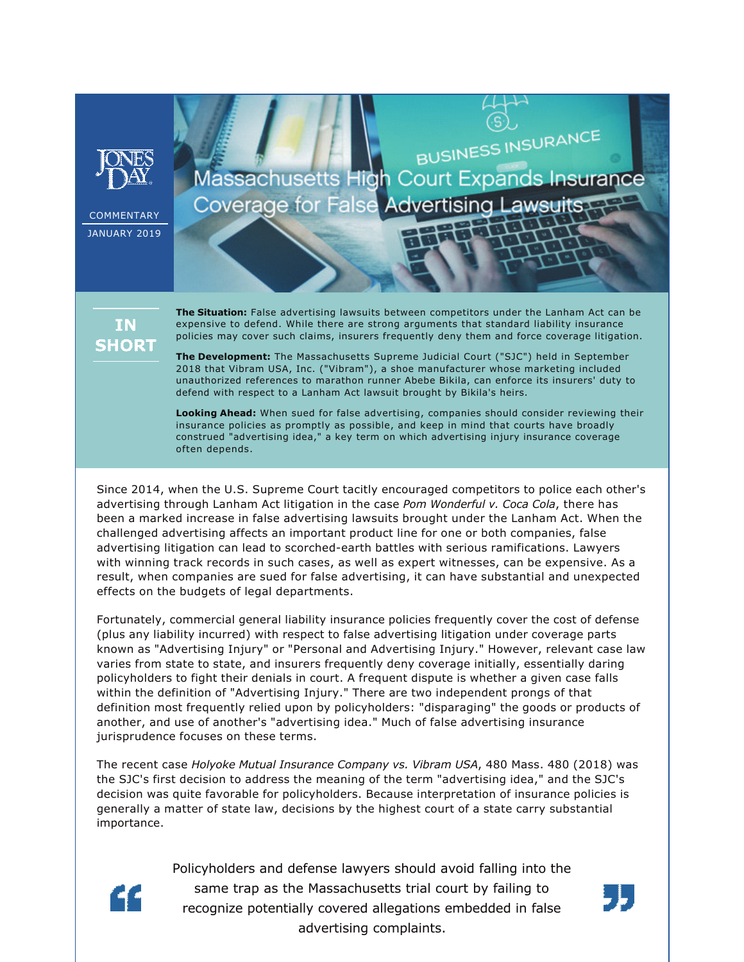

**COMMENTARY** JANUARY 2019

## BUSINESS INSURANCE Massachusetts High Court Expands Insurance **Coverage for False Advertising Lawsuits**

## **IN SHORT**

**The Situation:** False advertising lawsuits between competitors under the Lanham Act can be expensive to defend. While there are strong arguments that standard liability insurance policies may cover such claims, insurers frequently deny them and force coverage litigation.

**The Development:** The Massachusetts Supreme Judicial Court ("SJC") held in September 2018 that Vibram USA, Inc. ("Vibram"), a shoe manufacturer whose marketing included unauthorized references to marathon runner Abebe Bikila, can enforce its insurers' duty to defend with respect to a Lanham Act lawsuit brought by Bikila's heirs.

**Looking Ahead:** When sued for false advertising, companies should consider reviewing their insurance policies as promptly as possible, and keep in mind that courts have broadly construed "advertising idea," a key term on which advertising injury insurance coverage often depends.

Since 2014, when the U.S. Supreme Court tacitly encouraged competitors to police each other's advertising through Lanham Act litigation in the case *Pom Wonderful v. Coca Cola*, there has been a marked increase in false advertising lawsuits brought under the Lanham Act. When the challenged advertising affects an important product line for one or both companies, false advertising litigation can lead to scorched-earth battles with serious ramifications. Lawyers with winning track records in such cases, as well as expert witnesses, can be expensive. As a result, when companies are sued for false advertising, it can have substantial and unexpected effects on the budgets of legal departments.

Fortunately, commercial general liability insurance policies frequently cover the cost of defense (plus any liability incurred) with respect to false advertising litigation under coverage parts known as "Advertising Injury" or "Personal and Advertising Injury." However, relevant case law varies from state to state, and insurers frequently deny coverage initially, essentially daring policyholders to fight their denials in court. A frequent dispute is whether a given case falls within the definition of "Advertising Injury." There are two independent prongs of that definition most frequently relied upon by policyholders: "disparaging" the goods or products of another, and use of another's "advertising idea." Much of false advertising insurance jurisprudence focuses on these terms.

The recent case *Holyoke Mutual Insurance Company vs. Vibram USA*, 480 Mass. 480 (2018) was the SJC's first decision to address the meaning of the term "advertising idea," and the SJC's decision was quite favorable for policyholders. Because interpretation of insurance policies is generally a matter of state law, decisions by the highest court of a state carry substantial importance.



Policyholders and defense lawyers should avoid falling into the same trap as the Massachusetts trial court by failing to recognize potentially covered allegations embedded in false advertising complaints.

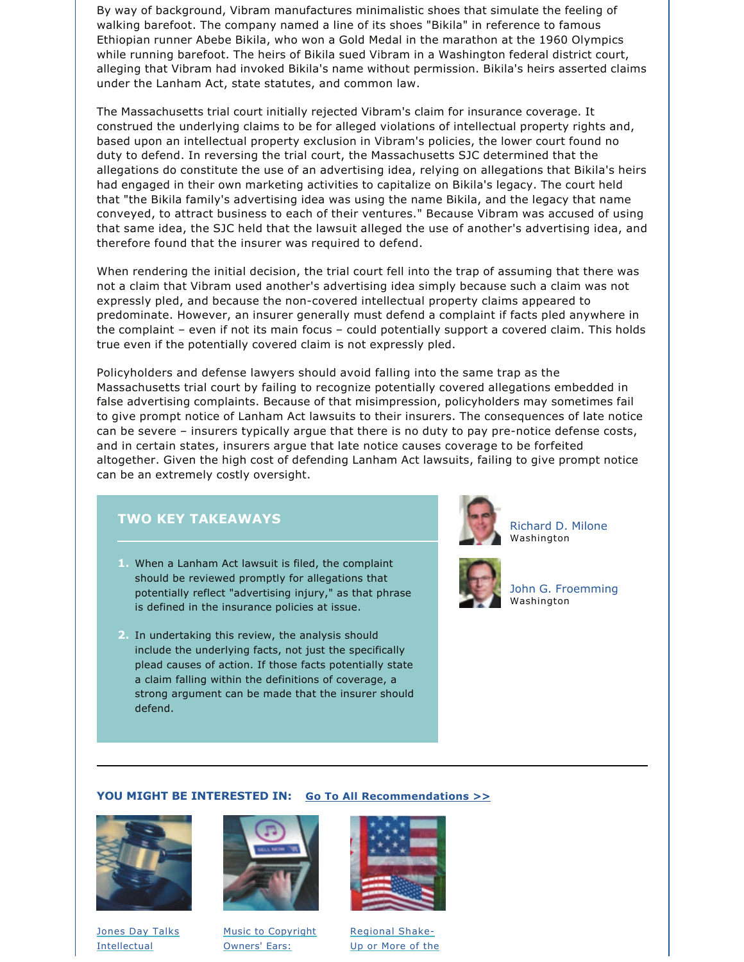By way of background, Vibram manufactures minimalistic shoes that simulate the feeling of walking barefoot. The company named a line of its shoes "Bikila" in reference to famous Ethiopian runner Abebe Bikila, who won a Gold Medal in the marathon at the 1960 Olympics while running barefoot. The heirs of Bikila sued Vibram in a Washington federal district court, alleging that Vibram had invoked Bikila's name without permission. Bikila's heirs asserted claims under the Lanham Act, state statutes, and common law.

The Massachusetts trial court initially rejected Vibram's claim for insurance coverage. It construed the underlying claims to be for alleged violations of intellectual property rights and, based upon an intellectual property exclusion in Vibram's policies, the lower court found no duty to defend. In reversing the trial court, the Massachusetts SJC determined that the allegations do constitute the use of an advertising idea, relying on allegations that Bikila's heirs had engaged in their own marketing activities to capitalize on Bikila's legacy. The court held that "the Bikila family's advertising idea was using the name Bikila, and the legacy that name conveyed, to attract business to each of their ventures." Because Vibram was accused of using that same idea, the SJC held that the lawsuit alleged the use of another's advertising idea, and therefore found that the insurer was required to defend.

When rendering the initial decision, the trial court fell into the trap of assuming that there was not a claim that Vibram used another's advertising idea simply because such a claim was not expressly pled, and because the non-covered intellectual property claims appeared to predominate. However, an insurer generally must defend a complaint if facts pled anywhere in the complaint – even if not its main focus – could potentially support a covered claim. This holds true even if the potentially covered claim is not expressly pled.

Policyholders and defense lawyers should avoid falling into the same trap as the Massachusetts trial court by failing to recognize potentially covered allegations embedded in false advertising complaints. Because of that misimpression, policyholders may sometimes fail to give prompt notice of Lanham Act lawsuits to their insurers. The consequences of late notice can be severe - insurers typically argue that there is no duty to pay pre-notice defense costs, and in certain states, insurers argue that late notice causes coverage to be forfeited altogether. Given the high cost of defending Lanham Act lawsuits, failing to give prompt notice can be an extremely costly oversight.

## **TWO KEY TAKEAWAYS**

- **1.** When a Lanham Act lawsuit is filed, the complaint should be reviewed promptly for allegations that potentially reflect "advertising injury," as that phrase is defined in the insurance policies at issue.
- **2.** In undertaking this review, the analysis should include the underlying facts, not just the specifically plead causes of action. If those facts potentially state a claim falling within the definitions of coverage, a strong argument can be made that the insurer should defend.



[Richard D. Milone](https://www.jonesday.com/rmilone/) Washington



[John G. Froemming](https://www.jonesday.com/jfroemming/) Washington

## **YOU MIGHT BE INTERESTED IN: [Go To All Recommendations >>](https://www.jonesday.com/intellectual_property/?section=Publications)**



[Jones Day Talks](https://www.jonesday.com/after-sas-institute-a-shift-in-patent-litigation-strategies-12-04-2018/)  [Intellectual](https://www.jonesday.com/after-sas-institute-a-shift-in-patent-litigation-strategies-12-04-2018/)



[Music to Copyright](https://www.jonesday.com/music-to-copyright-owners-ears-second-circuit-affirms-capitol-records-llc-v-redigi-inc-12-18-2018/)  [Owners' Ears:](https://www.jonesday.com/music-to-copyright-owners-ears-second-circuit-affirms-capitol-records-llc-v-redigi-inc-12-18-2018/)



[Regional Shake-](https://www.jonesday.com/regional-shake-up-or-more-of-the-same-how-the-usmca-impacts-north-american-trade-12-03-2018/)[Up or More of the](https://www.jonesday.com/regional-shake-up-or-more-of-the-same-how-the-usmca-impacts-north-american-trade-12-03-2018/)